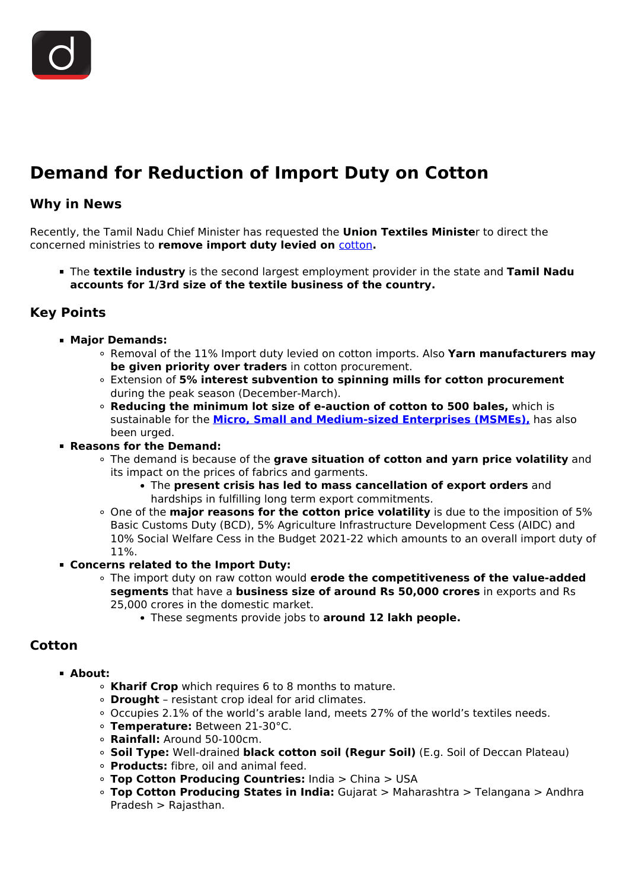# **Demand for Reduction of Import Duty on Cotton**

#### **Why in News**

Recently, the Tamil Nadu Chief Minister has requested the **Union Textiles Ministe**r to direct the concerned ministries to **remove import duty levied on** [cotton](/daily-updates/daily-news-analysis/herbicide-tolerant-ht-bt-cotton)**.**

The **textile industry** is the second largest employment provider in the state and **Tamil Nadu accounts for 1/3rd size of the textile business of the country.**

## **Key Points**

- **Major Demands:**
	- Removal of the 11% Import duty levied on cotton imports. Also **Yarn manufacturers may be given priority over traders** in cotton procurement.
	- Extension of **5% interest subvention to spinning mills for cotton procurement** during the peak season (December-March).
	- **Reducing the minimum lot size of e-auction of cotton to 500 bales,** which is sustainable for the **[Micro, Small and Medium-sized Enterprises \(MSMEs\),](/daily-updates/daily-news-analysis/international-msmes-day)** has also been urged.
- **Reasons for the Demand:**
	- The demand is because of the **grave situation of cotton and yarn price volatility** and its impact on the prices of fabrics and garments.
		- The **present crisis has led to mass cancellation of export orders** and hardships in fulfilling long term export commitments.
	- One of the **major reasons for the cotton price volatility** is due to the imposition of 5% Basic Customs Duty (BCD), 5% Agriculture Infrastructure Development Cess (AIDC) and 10% Social Welfare Cess in the Budget 2021-22 which amounts to an overall import duty of 11%.
- **Concerns related to the Import Duty:**
	- The import duty on raw cotton would **erode the competitiveness of the value-added segments** that have a **business size of around Rs 50,000 crores** in exports and Rs 25,000 crores in the domestic market.
		- These segments provide jobs to **around 12 lakh people.**

## **Cotton**

- **About:**
	- **Kharif Crop** which requires 6 to 8 months to mature.
	- **Drought** resistant crop ideal for arid climates.
	- Occupies 2.1% of the world's arable land, meets 27% of the world's textiles needs.
	- **Temperature:** Between 21-30°C.
	- **Rainfall:** Around 50-100cm.
	- **Soil Type:** Well-drained **black cotton soil (Regur Soil)** (E.g. Soil of Deccan Plateau)
	- **Products:** fibre, oil and animal feed.
	- **Top Cotton Producing Countries:** India > China > USA
	- **Top Cotton Producing States in India:** Gujarat > Maharashtra > Telangana > Andhra Pradesh > Rajasthan.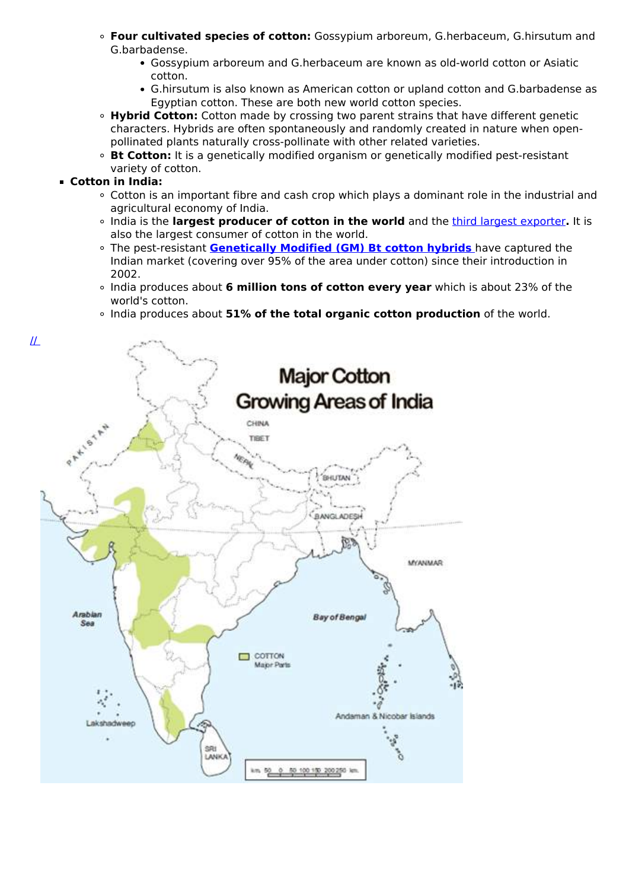- **Four cultivated species of cotton:** Gossypium arboreum, G.herbaceum, G.hirsutum and G.barbadense.
	- Gossypium arboreum and G.herbaceum are known as old-world cotton or Asiatic cotton.
	- G.hirsutum is also known as American cotton or upland cotton and G.barbadense as Egyptian cotton. These are both new world cotton species.
- **Hybrid Cotton:** Cotton made by crossing two parent strains that have different genetic characters. Hybrids are often spontaneously and randomly created in nature when openpollinated plants naturally cross-pollinate with other related varieties.
- **Bt Cotton:** It is a genetically modified organism or genetically modified pest-resistant variety of cotton.

#### **Cotton in India:**

- Cotton is an important fibre and cash crop which plays a dominant role in the industrial and agricultural economy of India.
- India is the **largest producer of cotton in the world** and the [third largest exporter](/daily-updates/daily-news-analysis/the-decline-in-cotton-exports)**.** It is also the largest consumer of cotton in the world.
- The pest-resistant **[Genetically Modified \(GM\) Bt cotton hybrids](/daily-updates/daily-news-editorials/impacts-of-bt-cotton)** [h](/daily-updates/daily-news-editorials/impacts-of-bt-cotton)ave captured the Indian market (covering over 95% of the area under cotton) since their introduction in 2002.
- India produces about **6 million tons of cotton every year** which is about 23% of the world's cotton.
- India produces about **51% of the total organic cotton production** of the world.